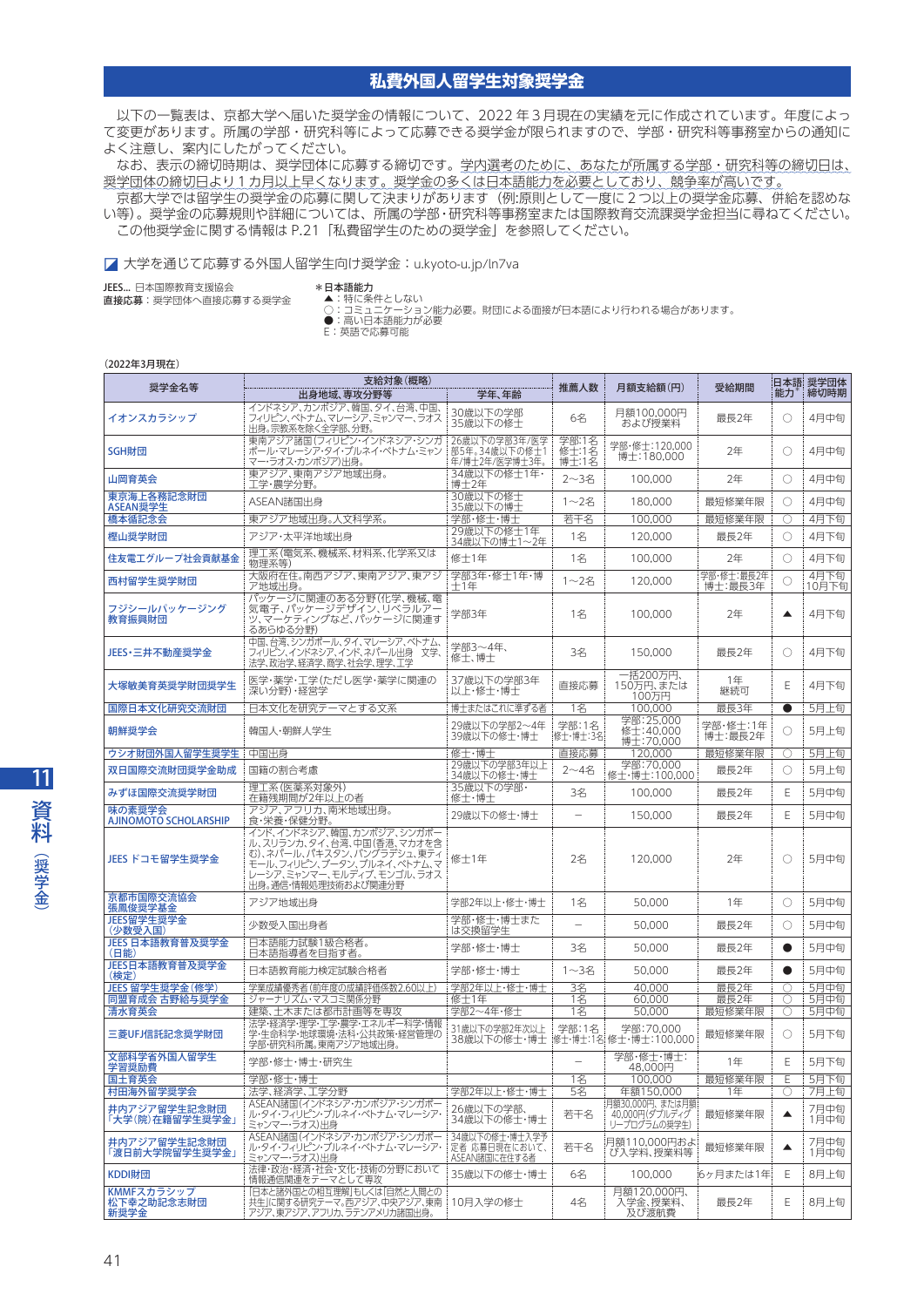## **私費外国人留学生対象奨学金**

 以下の一覧表は、京都大学へ届いた奨学金の情報について、2022 年3月現在の実績を元に作成されています。年度によっ て変更があります。所属の学部・研究科等によって応募できる奨学金が限られますので、学部・研究科等事務室からの通知に よく注意し、案内にしたがってください。

 なお、表示の締切時期は、奨学団体に応募する締切です。学内選考のために、あなたが所属する学部・研究科等の締切日は、 奨学団体の締切日より1カ月以上早くなります。奨学金の多くは日本語能力を必要としており、競争率が高いです。

 京都大学では留学生の奨学金の応募に関して決まりがあります(例:原則として一度に2つ以上の奨学金応募、併給を認めな い等)。奨学金の応募規則や詳細については、所属の学部・研究科等事務室または国際教育交流課奨学金担当に尋ねてください。 この他奨学金に関する情報は P.21「私費留学生のための奨学金」を参照してください。

◪ 大学を通じて応募する外国人留学生向け奨学金:[u.kyoto-u.jp/ln7va](http://u.kyoto-u.jp/ln7va)

JEES... 日本国際教育支援協会 直接応募:奨学団体へ直接応募する奨学金

\***日本語能力**<br>- ▲:特に条件としない

○:コミュニケーション能力必要。財団による面接が日本語により行われる場合があります。<br>●:高い日本語能力が必要<br>E:英語で応募可能

## (2022年3月現在)

|                                        | 支給対象(概略)                                                                                                                                                              |                                                  |                          |                                                     |                       |           | 日本語 奨学団体      |
|----------------------------------------|-----------------------------------------------------------------------------------------------------------------------------------------------------------------------|--------------------------------------------------|--------------------------|-----------------------------------------------------|-----------------------|-----------|---------------|
| 奨学金名等                                  | 出身地域、専攻分野等                                                                                                                                                            | 学年、年齢                                            | 推薦人数                     | 月額支給額(円)                                            | 受給期間                  | 能力        | 締切時期          |
| イオンスカラシップ                              | インドネシア、カンボジア、韓国、タイ、台湾、中国、<br>フィリピン、ベトナム、マレーシア、ミャンマー、ラオス<br>出身。宗教系を除く全学部、分野。                                                                                           | 30歳以下の学部<br>35歳以下の修士                             | 6名                       | 月額100.000円<br>および授業料                                | 最長2年                  | O         | 4月中旬          |
| SGH財団                                  | 東南アジア諸国(フィリピン・インドネシア・シンガ<br>ポール・マレーシア・タイ・ブルネイ・ベトナム・ミャン<br>マー・ラオス・カンボジア)出身。                                                                                            | 26歳以下の学部3年/医学<br>部5年。34歳以下の修士1<br>年/博士2年/医学博士3年。 | 学部:1名<br>修士:1名<br>博士:1名  | 学部·修士:120,000<br>博士:180,000                         | 2年                    | O         | 4月中旬          |
| 山岡育英会                                  | 東アジア、東南アジア地域出身。<br>工学・農学分野。                                                                                                                                           | 34歳以下の修士1年·<br>博士2年                              | $2 - 3$ 名                | 100,000                                             | 2年                    | O         | 4月中旬          |
| 東京海上各務記念財団<br>ASEAN奨学生                 | ASEAN諸国出身                                                                                                                                                             | 30歳以下の修士<br>35歳以下の博士                             | 1~2名                     | 180,000                                             | 最短修業年限                | O         | 4月中旬          |
| 橋本循記念会                                 | 東アジア地域出身。人文科学系。                                                                                                                                                       | 学部・修士・博士                                         | 若干名                      | 100,000                                             | 最短修業年限                | O         | 4月下旬          |
| 樫山奨学財団                                 | アジア・太平洋地域出身                                                                                                                                                           | 29歳以下の修士1年<br>34歳以下の博士1~2年                       | 1名                       | 120,000                                             | 最長2年                  | O         | 4月下旬          |
| 住友電エグループ社会貢献基金                         | 理工系(電気系、機械系、材料系、化学系又は<br>物理系等)                                                                                                                                        | 修士1年                                             | 1名                       | 100,000                                             | 2年                    | O         | 4月下旬          |
| 西村留学生奨学財団                              | 大阪府在住。南西アジア、東南アジア、東アジ<br>ア地域出身。                                                                                                                                       | 学部3年·修士1年·博<br>士1年                               | $1 - 24$                 | 120,000                                             | 学部·修士:最長2年<br>博士:最長3年 | O         | 4月下旬<br>10月下旬 |
| フジシールパッケージング<br>教育振興財団                 | パッケージに関連のある分野(化学、機械、電<br>気電子、パッケージデザイン、リベラルアー<br>ツ、マーケティングなど、パッケージに関連す<br>るあらゆる分野)                                                                                    | 学部3年                                             | 1名                       | 100,000                                             | 2年                    | ▲         | 4月下旬          |
| JEES・三井不動産奨学金                          | 中国、台湾、シンガポール、タイ、マレーシア、ベトナム、<br>フィリピン、インドネシア、インド、ネパール出身  文学、<br>法学、政治学、経済学、商学、社会学、理学、工学                                                                                | 学部3~4年、<br>修士、博士                                 | 3名                       | 150,000                                             | 最長2年                  | O         | 4月下旬          |
| 大塚敏美育英奨学財団奨学生                          | 医学・薬学・工学(ただし医学・薬学に関連の<br>深い分野)・経営学                                                                                                                                    | 37歳以下の学部3年<br>以上・修士・博士                           | 直接応募                     | 一括200万円、<br>150万円、または<br>100万円                      | 1年<br>継続可             | Ε         | 4月下旬          |
| 国際日本文化研究交流財団                           | 日本文化を研究テーマとする文系                                                                                                                                                       | 博士またはこれに準ずる者!                                    | 1名                       | 100.000                                             | 最長3年                  | ●         | 5月上旬          |
| 朝鮮奨学会                                  | 韓国人·朝鮮人学生                                                                                                                                                             | 29歳以下の学部2~4年<br>39歳以下の修士・博士                      | 学部:1名<br>修士・博士:3名        | 学部:25,000<br>修士:40,000<br>博士:70,000                 | 学部・修士:1年<br>博士:最長2年   | O         | 5月上旬          |
| ウシオ財団外国人留学生奨学生   中国出身                  |                                                                                                                                                                       | 修士·博士                                            | 直接応募                     | 120,000                                             | 最短修業年限                | О         | 5月上旬          |
| 双日国際交流財団奨学金助成                          | 国籍の割合考慮                                                                                                                                                               | 29歳以下の学部3年以上<br>34歳以下の修士・博士                      | 2~4名                     | 学部:70,000<br>修士・博士:100,000                          | 最長2年                  | O         | 5月上旬          |
| みずほ国際交流奨学財団                            | 理工系(医薬系対象外)<br>在籍残期間が2年以上の者                                                                                                                                           | 35歳以下の学部·<br>修士・博士                               | 3名                       | 100.000                                             | 最長2年                  | Ε         | 5月中旬          |
| 味の素奨学会<br><b>AJINOMOTO SCHOLARSHIP</b> | アジア、アフリカ、南米地域出身。<br>食·栄養·保健分野。                                                                                                                                        | 29歳以下の修士・博士                                      | $\overline{\phantom{0}}$ | 150,000                                             | 最長2年                  | E         | 5月中旬          |
| JEES ドコモ留学生奨学金                         | インド、インドネシア、韓国、カンボジア、シンガポー<br>ル、スリランカ、タイ、台湾、中国(香港、マカオを含<br>む)、ネパール、パキスタン、バングラデシュ、東ティ<br>モール、フィリピン、ブータン、ブルネイ、ベトナム、マ<br>レーシア、ミャンマー、モルディブ、モンゴル、ラオス<br>出身。通信・情報処理技術および関連分野 | 修士1年                                             | 2名                       | 120,000                                             | 2年                    | O         | 5月中旬          |
| 京都市国際交流協会<br>張鳳俊奨学基金                   | アジア地域出身                                                                                                                                                               | 学部2年以上・修士・博士                                     | 1名                       | 50.000                                              | 1年                    | O         | 5月中旬          |
| JEES留学生奨学金<br>(少数受入国)                  | 少数受入国出身者                                                                                                                                                              | 学部・修士・博士また<br>は交換留学生                             |                          | 50,000                                              | 最長2年                  | O         | 5月中旬          |
| JEES 日本語教育普及奨学金<br>(日能)                | 日本語能力試験1級合格者。<br>日本語指導者を目指す者。                                                                                                                                         | 学部・修士・博士                                         | 3名                       | 50,000                                              | 最長2年                  | $\bullet$ | 5月中旬          |
| JEES日本語教育普及奨学金<br>(検定)                 | 日本語教育能力検定試験合格者                                                                                                                                                        | 学部・修士・博士                                         | 1~3名                     | 50,000                                              | 最長2年                  | 0         | 5月中旬          |
| JEES 留学生奨学金(修学)                        | 学業成績優秀者(前年度の成績評価係数2.60以上)                                                                                                                                             | 学部2年以上・修士・博士                                     | 3名                       | 40,000                                              | 最長2年                  | O         | 5月中旬          |
| 同盟育成会 古野給与奨学金                          | ジャーナリズム・マスコミ関係分野                                                                                                                                                      | 修士1年                                             | 1名                       | 60.000                                              | 最長2年                  | 0         | 5月中旬          |
| 清水育英会<br>三菱UFJ信託記念奨学財団                 | 建築、土木または都市計画等を専攻<br>法学・経済学・理学・工学・農学・エネルギー科学・情報<br>学・生命科学・地球環境・法科・公共政策・経営管理の<br>学部・研究科所属。東南アジア地域出身。                                                                    | 学部2~4年·修士<br>31歳以下の学部2年次以上<br>38歳以下の修士・博士        | 1名<br>学部:1名              | 50.000<br>学部:70,000<br> 修士・博士:1名  修士・博士:100,000     | 最短修業年限<br>最短修業年限      | O<br>O    | 5月中旬<br>5月下旬  |
| 文部科学省外国人留学生<br>学習奨励費                   | 学部・修士・博士・研究生                                                                                                                                                          |                                                  |                          | 学部·修士·博士:<br>48,000円                                | 1年                    | E         | 5月下旬          |
| 国土育英会                                  | 学部・修士・博士                                                                                                                                                              |                                                  | 1名                       | 100,000                                             | 最短修業年限                | Ε         | 5月下旬          |
| 村田海外留学奨学会                              | ! 法学、経済学、工学分野                                                                                                                                                         | 学部2年以上・修士・博士                                     | 5名                       | 年額150,000                                           | 1年                    | O         | 7月上旬          |
| 井内アジア留学生記念財団<br>「大学(院)在籍留学生奨学金」        | ASEAN諸国(インドネシア・カンボジア・シンガポー<br>ル・タイ・フィリピン・ブルネイ・ベトナム・マレーシア・<br>ミャンマー・ラオス)出身                                                                                             | 26歳以下の学部、<br>34歳以下の修士・博士                         | 若干名                      | 月額30,000円、 または月額 <br>40,000円(ダブルディグ<br>リープログラムの奨学生) | 最短修業年限                | ▲         | 7月中旬<br>1月中旬  |
| 井内アジア留学生記念財団<br>「渡日前大学院留学生奨学金」         | ASEAN諸国(インドネシア・カンボジア・シンガポー<br>ル・タイ・フィリピン・ブルネイ・ベトナム・マレーシア・<br>ミャンマー・ラオス)出身                                                                                             | 34歳以下の修士・博士入学予<br>定者 応募日現在において、<br>ASEAN諸国に在住する者 | 若干名                      | 月額110,000円およ<br>び入学料、授業料等                           | 最短修業年限                | ▲         | 7月中旬<br>1月中旬  |
| KDDI財団                                 | 法律・政治・経済・社会・文化・技術の分野において<br>情報通信関連をテーマとして専攻                                                                                                                           | 35歳以下の修士・博士                                      | 6名                       | 100,000                                             | 6ヶ月または1年              | Ε         | 8月上旬          |
| KMMFスカラシップ<br>松下幸之助記念志財団<br>新奨学金       | 「日本と諸外国との相互理解」もしくは「自然と人間との<br>共生」に関する研究テーマ。西アジア、中央アジア、東南<br>アジア、東アジア、アフリカ、ラテンアメリカ諸国出身。                                                                                | 10月入学の修士                                         | 4名                       | 月額120,000円、<br>入学金、授業料、<br>及び渡航費                    | 最長2年                  | Ε         | 8月上旬          |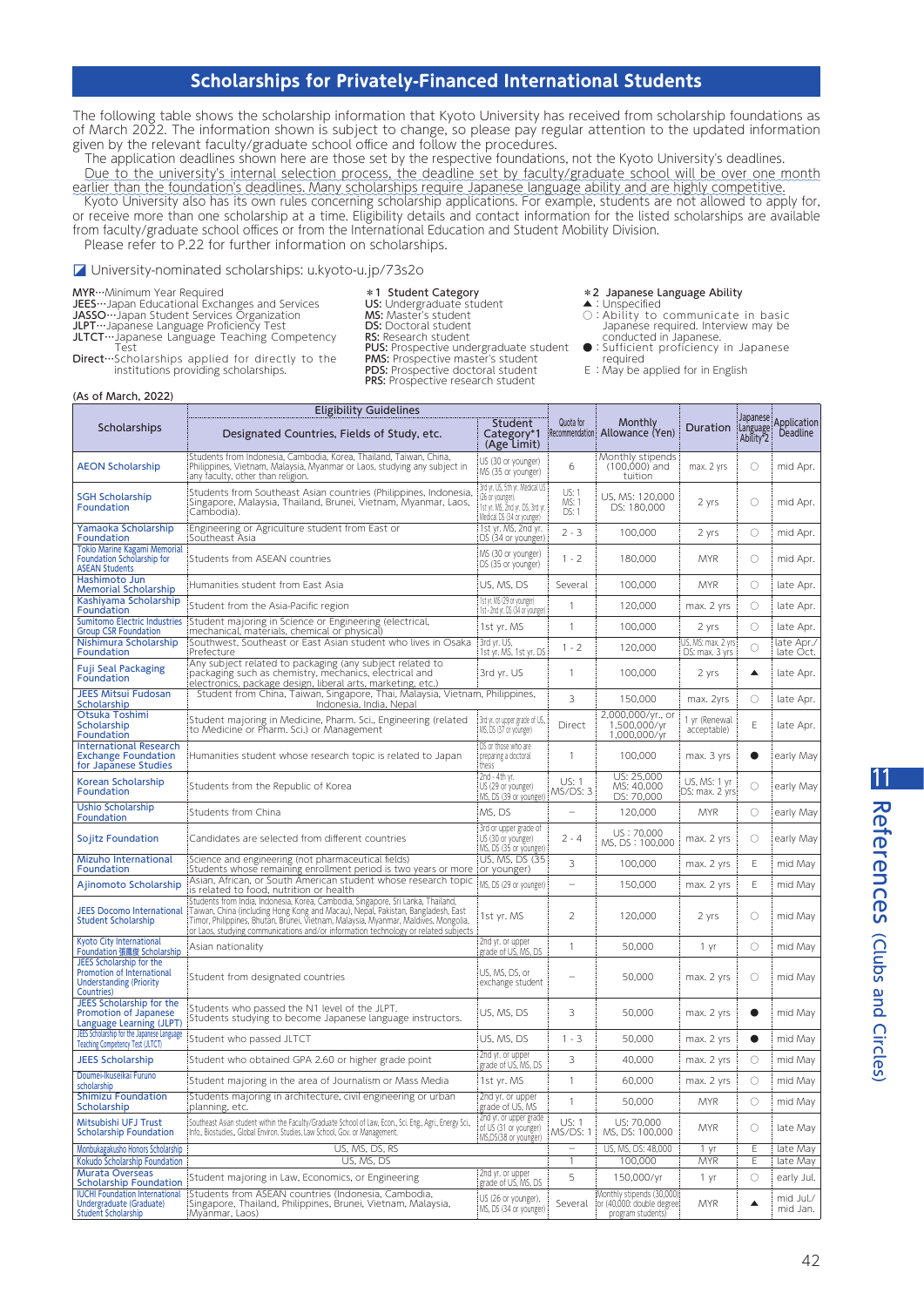## $\frac{1}{2}$

11

References

(Clubs and Circles)

References (Clubs and Circles

The following table shows the scholarship information that Kyoto University has received from scholarship foundations as of March 2022. The information shown is subject to change, so please pay regular attention to the updated information given by the relevant faculty/graduate school office and follow the procedures.

The application deadlines shown here are those set by the respective foundations, not the Kyoto University's deadlines. Due to the university's internal selection process, the deadline set by faculty/graduate school will be over one month earlier than the foundation's deadlines. Many scholarships require Japanese language ability and are highly competitive.

Kyoto University also has its own rules concerning scholarship applications. For example, students are not allowed to apply for, or receive more than one scholarship at a time. Eligibility details and contact information for the listed scholarships are available from faculty/graduate school offices or from the International Education and Student Mobility Division. Please refer to P.22 for further information on scholarships.

> PMS: Prospective master's student PDS: Prospective doctoral student PRS: Prospective research student

◪ University-nominated scholarships: [u.kyoto-u.jp/73s2o](http://u.kyoto-u.jp/73s2o)

MYR…Minimum Year Required

JEES…Japan Educational Exchanges and Services JASSO…Japan Student Services Organization

JLPT…Japanese Language Proficiency Test

\*1 Student Category **US:** Undergraduate student<br>**MS:** Master's student

- 
- DS: Doctoral student RS: Research student
- **PUS:** Prospective undergraduate student
- \*2 Japanese Language Ability
- ▲:Unspecified<br>○:Ability to communicate in basic Japanese required. Interview may be conducted in Japanese.
- : Sufficient proficiency in Japanese required
- E: May be applied for in English

JLTCT…Japanese Language Teaching Competency Test Direct…Scholarships applied for directly to the institutions providing scholarships.

| Scholarships                                                                                                                     | <b>Eligibility Guidelines</b><br>Designated Countries, Fields of Study, etc.                                                                                                                                                                                                                                                                                                    | <b>Student</b><br>Category*1<br>(Age Limit)                                                                         | Quota for                | Monthly<br>Recommendation: Allowance (Yen)                                    | Duration                              | Japanese<br>Language<br>Ability <sup>*</sup> 2 | Application<br>Deadline |
|----------------------------------------------------------------------------------------------------------------------------------|---------------------------------------------------------------------------------------------------------------------------------------------------------------------------------------------------------------------------------------------------------------------------------------------------------------------------------------------------------------------------------|---------------------------------------------------------------------------------------------------------------------|--------------------------|-------------------------------------------------------------------------------|---------------------------------------|------------------------------------------------|-------------------------|
| <b>AEON Scholarship</b>                                                                                                          | Students from Indonesia, Cambodia, Korea, Thailand, Taiwan, China,<br>Philippines, Vietnam, Malaysia, Myanmar or Laos, studying any subject in<br>any faculty, other than religion.                                                                                                                                                                                             | US (30 or younger)<br>MS (35 or younger)                                                                            | 6                        | Monthly stipends<br>$(100,000)$ and<br>tuition                                | max. 2 yrs                            | $\circ$                                        | mid Apr.                |
| <b>SGH Scholarship</b><br><b>Foundation</b>                                                                                      | Students from Southeast Asian countries (Philippines, Indonesia,<br>Singapore, Malaysia, Thailand, Brunei, Vietnam, Myanmar, Laos,<br>Cambodia).                                                                                                                                                                                                                                | 3rd yr. US, 5th yr. Medical US<br>(26 or younger).<br>1st yr. MS, 2nd yr. DS, 3rd yr.<br>Medical DS (34 or younger) | US: 1<br>MS: 1<br>DS: 1  | US, MS: 120,000<br>DS: 180,000                                                | 2 yrs                                 | $\circ$                                        | mid Apr.                |
| Yamaoka Scholarship<br>Foundation                                                                                                | Engineering or Agriculture student from East or<br>Southeast Asia                                                                                                                                                                                                                                                                                                               | 1st yr. MS, 2nd yr.<br>DS (34 or younger)                                                                           | $2 - 3$                  | 100,000                                                                       | 2 yrs                                 | $\circ$                                        | mid Apr.                |
| <b>Tokio Marine Kagami Memorial</b><br><b>Foundation Scholarship for</b><br><b>ASEAN Students</b>                                | Students from ASEAN countries                                                                                                                                                                                                                                                                                                                                                   | MS (30 or younger)<br>DS (35 or younger)                                                                            | $1 - 2$                  | 180,000                                                                       | <b>MYR</b>                            | $\circ$                                        | mid Apr.                |
| Hashimoto Jun<br><b>Memorial Scholarship</b>                                                                                     | Humanities student from East Asia                                                                                                                                                                                                                                                                                                                                               | US, MS, DS                                                                                                          | Several                  | 100,000                                                                       | <b>MYR</b>                            | $\circ$                                        | late Apr.               |
| Kashiyama Scholarship<br>Foundation                                                                                              | Student from the Asia-Pacific region                                                                                                                                                                                                                                                                                                                                            | 1st yr. MS (29 or younger)<br>1st - 2nd yr. DS (34 or younger)                                                      | 1                        | 120,000                                                                       | max. 2 yrs                            | $\circ$                                        | late Apr.               |
| <b>Group CSR Foundation</b>                                                                                                      | Sumitomo Electric Industries Student majoring in Science or Engineering (electrical,<br>mechanical, materials, chemical or physical)                                                                                                                                                                                                                                            | 1st yr. MS                                                                                                          | 1                        | 100,000                                                                       | 2 yrs                                 | $\circ$                                        | late Apr.               |
| Nishimura Scholarship<br>Foundation                                                                                              | Southwest, Southeast or East Asian student who lives in Osaka<br>Prefecture                                                                                                                                                                                                                                                                                                     | 3rd yr. US,<br>1st yr. MS, 1st yr. DS                                                                               | $1 - 2$                  | 120,000                                                                       | US, MS: max. 2 yrs:<br>DS: max. 3 yrs | $\circ$                                        | late Apr./<br>late Oct. |
| <b>Fuji Seal Packaging</b><br><b>Foundation</b>                                                                                  | Any subject related to packaging (any subject related to<br>packaging such as chemistry, mechanics, electrical and<br>electronics, package design, liberal arts, marketing, etc.) إ                                                                                                                                                                                             | 3rd yr. US                                                                                                          | 1                        | 100,000                                                                       | 2 yrs                                 | ▲                                              | late Apr.               |
| <b>JEES Mitsui Fudosan</b><br><b>Scholarship</b>                                                                                 | Student from China, Taiwan, Singapore, Thai, Malaysia, Vietnam, Philippines,<br>Indonesia, India, Nepal                                                                                                                                                                                                                                                                         |                                                                                                                     | 3                        | 150,000                                                                       | max. 2yrs                             | $\circ$                                        | late Apr.               |
| Otsuka Toshimi<br>Scholarship<br>Foundation                                                                                      | Student majoring in Medicine, Pharm. Sci., Engineering (related<br>to Medicine or Pharm. Sci.) or Management                                                                                                                                                                                                                                                                    | 3rd yr. or upper grade of US.,<br>MS, DS (37 or younger)                                                            | Direct                   | 2,000,000/yr., or<br>1,500,000/yr<br>1,000,000/yr                             | 1 yr (Renewal<br>acceptable)          | Ε                                              | late Apr.               |
| <b>International Research</b><br><b>Exchange Foundation</b><br>for Japanese Studies                                              | Humanities student whose research topic is related to Japan                                                                                                                                                                                                                                                                                                                     | DS or those who are<br>preparing a doctoral<br>thesis                                                               | 1                        | 100,000                                                                       | max. 3 yrs                            | $\bullet$                                      | early May               |
| Korean Scholarship<br>Foundation                                                                                                 | Students from the Republic of Korea                                                                                                                                                                                                                                                                                                                                             | 2nd - 4th yr.<br>US (29 or younger)<br>MS, DS (39 or younger)                                                       | <b>US: 1</b><br>MS/DS: 3 | US: 25,000<br>MS: 40,000<br>DS: 70,000                                        | US, MS: 1 yr<br>DS: max. 2 yrs.       | O                                              | early May               |
| <b>Ushio Scholarship</b><br><b>Foundation</b>                                                                                    | Students from China                                                                                                                                                                                                                                                                                                                                                             | MS, DS                                                                                                              | $\overline{\phantom{a}}$ | 120,000                                                                       | <b>MYR</b>                            | $\circ$                                        | early May               |
| Sojitz Foundation                                                                                                                | Candidates are selected from different countries                                                                                                                                                                                                                                                                                                                                | 3rd or upper grade of<br>US (30 or younger)<br>MS, DS (35 or younger)                                               | 2 - 4                    | US: 70,000<br>MS, DS : 100,000                                                | max. 2 yrs                            | $\circ$                                        | early May               |
| Mizuho International<br><b>Foundation</b>                                                                                        | Science and engineering (not pharmaceutical fields)<br>(Students whose remaining enrollment period is two years or more (or younger)                                                                                                                                                                                                                                            | US, MS, DS (35)                                                                                                     | 3                        | 100,000                                                                       | max. 2 yrs                            | Ε                                              | mid May                 |
| Ajinomoto Scholarship                                                                                                            | Asian, African, or South American student whose research topic<br>is related to food, nutrition or health                                                                                                                                                                                                                                                                       | MS, DS (29 or younger)                                                                                              |                          | 150,000                                                                       | max. 2 yrs                            | Ε                                              | mid May                 |
| <b>Student Scholarship</b>                                                                                                       | Students from India, Indonesia, Korea, Cambodia, Singapore, Sri Lanka, Thailand,<br>JEES Docomo International   Taiwan, China (including Hong Kong and Macau), Nepal, Pakistan, Bangladesh, East<br>Timor, Philippines, Bhutan, Brūnei, Vietnam, Malaysia, Myanmar, Maldives, Mongolia,<br>or Laos, studying communications and/or information technology or related subjects : | 1st yr. MS                                                                                                          | 2                        | 120,000                                                                       | 2 yrs                                 | $\circ$                                        | mid May                 |
| <b>Kyoto City International</b><br><b>Foundation 張鳳俊 Scholarship</b>                                                             | Asian nationality                                                                                                                                                                                                                                                                                                                                                               | 2nd yr. or upper<br>grade of US, MS, DS                                                                             | 1                        | 50,000                                                                        | 1 yr                                  | $\circ$                                        | mid May                 |
| JEES Scholarship for the<br>Promotion of International<br><b>Understanding (Priority</b><br>Countries)                           | Student from designated countries                                                                                                                                                                                                                                                                                                                                               | US, MS, DS, or<br>exchange student                                                                                  |                          | 50,000                                                                        | max. 2 yrs                            | $\circ$                                        | mid May                 |
| JEES Scholarship for the<br><b>Promotion of Japanese</b><br>Language Learning (JLPT)                                             | Students who passed the N1 level of the JLPT.<br>Students studying to become Japanese language instructors.                                                                                                                                                                                                                                                                     | US, MS, DS                                                                                                          | 3                        | 50,000                                                                        | max. 2 yrs                            | $\bullet$                                      | mid May                 |
| JEES Scholarship for the Japanese Language<br><b>Teaching Competency Test (JLTCT)</b>                                            | Student who passed JLTCT                                                                                                                                                                                                                                                                                                                                                        | US, MS, DS                                                                                                          | $1 - 3$                  | 50,000                                                                        | max. 2 yrs                            | $\bullet$                                      | mid May                 |
| <b>JEES Scholarship</b>                                                                                                          | Student who obtained GPA 2.60 or higher grade point                                                                                                                                                                                                                                                                                                                             | 2nd yr. or upper<br>grade of US, MS, DS                                                                             | 3                        | 40,000                                                                        | max. 2 yrs                            | $\circ$                                        | mid May                 |
| Doumei-Ikuseikai Furuno<br>scholarship                                                                                           | Student majoring in the area of Journalism or Mass Media                                                                                                                                                                                                                                                                                                                        | 1st yr. MS                                                                                                          | 1                        | 60,000                                                                        | max. 2 yrs                            | $\circ$                                        | mid May                 |
| <b>Shimizu Foundation</b><br>Scholarship                                                                                         | Students majoring in architecture, civil engineering or urban<br>planning, etc.                                                                                                                                                                                                                                                                                                 | 2nd yr. or upper<br>grade of US, MS                                                                                 | 1                        | 50,000                                                                        | <b>MYR</b>                            | О                                              | mid May                 |
| Mitsubishi UFJ Trust<br><b>Scholarship Foundation</b>                                                                            | Southeast Asian student within the Faculty/Graduate School of Law, Econ., Sci. Eng., Agri., Energy Sci.,<br>Info., Biostudies,, Global Environ. Studies, Law School, Gov. or Management.                                                                                                                                                                                        | 2nd yr. or upper grade<br>of US (31 or younger)<br>MS,DS(38 or younger)                                             | US: 1<br>MS/DS: 1        | US: 70,000<br>MS, DS: 100,000                                                 | <b>MYR</b>                            | $\circ$                                        | late May                |
| Monbukagakusho Honors Scholarship                                                                                                | US, MS, DS, RS                                                                                                                                                                                                                                                                                                                                                                  |                                                                                                                     |                          | US, MS, DS: 48,000                                                            | 1 yr                                  | Ε                                              | late May                |
| Kokudo Scholarship Foundation<br><b>Murata Overseas</b>                                                                          | US, MS, DS<br>Student majoring in Law, Economics, or Engineering                                                                                                                                                                                                                                                                                                                | 2nd yr. or upper                                                                                                    | $\mathbf{1}$<br>5        | 100,000<br>150,000/yr                                                         | <b>MYR</b><br>1 yr                    | Ε<br>$\circ$                                   | late May<br>early Jul.  |
| <b>Scholarship Foundation</b><br><b>IUCHI Foundation International</b><br>Undergraduate (Graduate)<br><b>Student Scholarship</b> | Students from ASEAN countries (Indonesia, Cambodia,<br>Singapore, Thailand, Philippines, Brunei, Vietnam, Malaysia,<br>:Myanmar, Laos)                                                                                                                                                                                                                                          | grade of US, MS, DS<br>US (26 or younger),<br> MS, DS (34 or younger)                                               | Several                  | Monthly stipends (30,000)<br>for (40,000: double degree)<br>program students) | <b>MYR</b>                            | ▲                                              | mid Jul./<br>mid Jan.   |

## (As of March, 2022)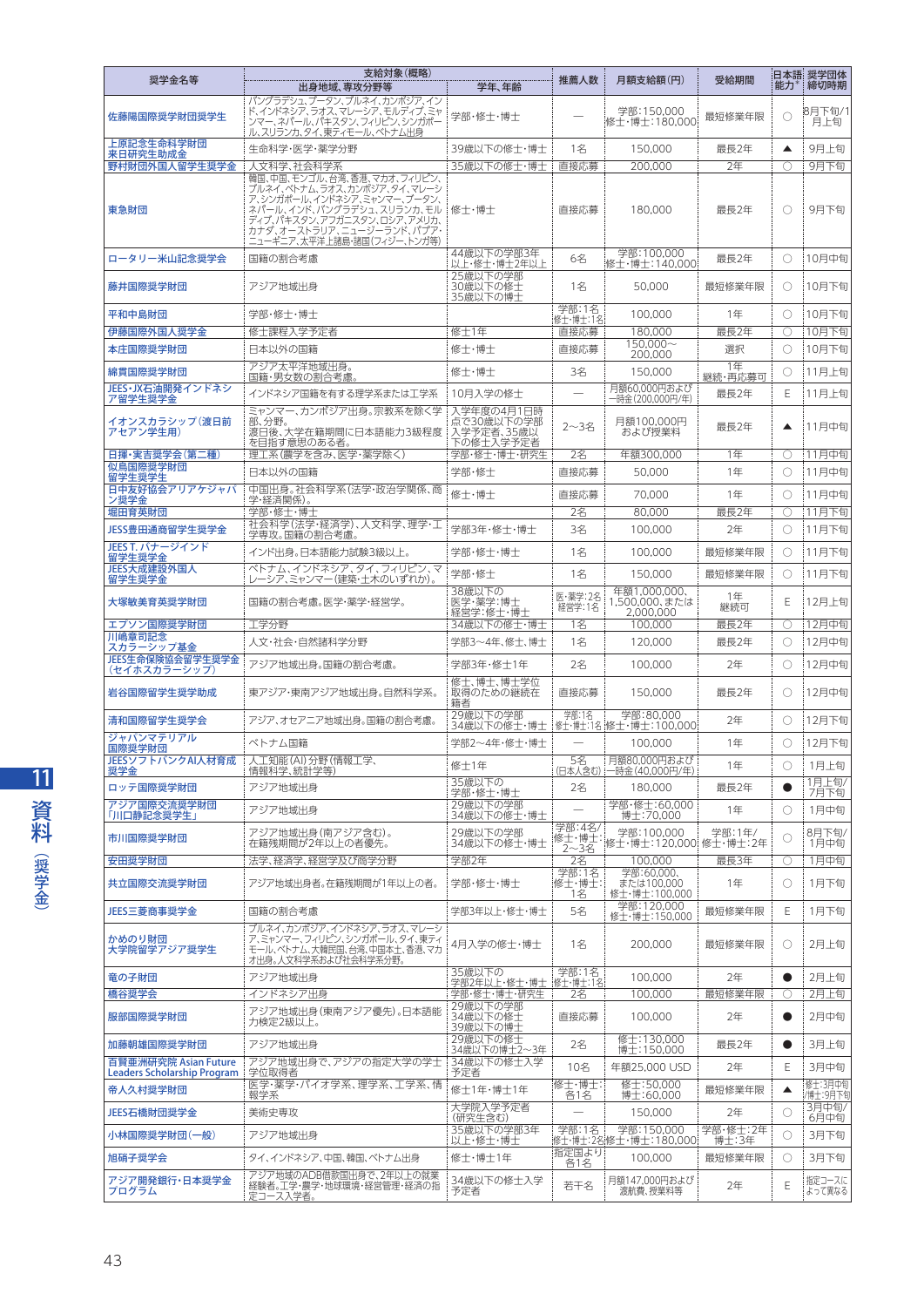| 奨学金名等                                               | 支給対象(概略)                                                                                                                                                                                                          |                                                     | 推薦人数                  | 月額支給額(円)                                                | 受給期間<br>能力    |            | 日本語 奨学団体<br>締切時期  |
|-----------------------------------------------------|-------------------------------------------------------------------------------------------------------------------------------------------------------------------------------------------------------------------|-----------------------------------------------------|-----------------------|---------------------------------------------------------|---------------|------------|-------------------|
|                                                     | 出身地域、専攻分野等<br>バングラデシュ、ブータン、ブルネイ、カンボジア、イン                                                                                                                                                                          | 学年、年齢                                               |                       |                                                         |               |            |                   |
| 佐藤陽国際奨学財団奨学生                                        | ド、インドネシア、ラオス、マレーシア、モルディブ、ミャ<br>ンマー、ネパール、パキスタン、フィリピン、シンガポー<br>ル、スリランカ、タイ、東ティモール、ベトナム出身                                                                                                                             | 学部・修士・博士                                            |                       | 学部:150,000<br>修士・博士:180,000!                            | 最短修業年限        | O          | :8月下旬/1<br>月上旬    |
| 上原記念生命科学財団<br>来日研究生助成金                              | 生命科学·医学·薬学分野                                                                                                                                                                                                      | 39歳以下の修士・博士                                         | 150,000<br>1名         |                                                         | 最長2年          | ▲          | 9月上旬              |
| 野村財団外国人留学生奨学金                                       | 人文科学、社会科学系                                                                                                                                                                                                        | 35歳以下の修士・博士!                                        | 直接応募                  | 200.000                                                 | 2年            | 0          | 9月下旬              |
| 東急財団                                                | 韓国、中国、モンゴル、台湾、香港、マカオ、フィリピン、<br>ブルネイ、ベトナム、ラオス、カンボジア、タイ、マレーシ<br>ア、シンガポール、インドネシア、ミャンマー、ブータン、<br>ネパール、インド、バングラデシュ、スリランカ、モル<br>ディブ、パキスタン、アフガニスタン、ロシア、アメリカ、<br>カナダ、オーストラリア、ニュージーランド、パプア・<br>ニューギニア、太平洋上諸島・諸国(フィジー、トンガ等) | 修士・博士                                               | 直接応募                  | 180,000                                                 | 最長2年          | O          | 9月下旬              |
| ロータリー米山記念奨学会                                        | 国籍の割合考慮                                                                                                                                                                                                           | 44歳以下の学部3年<br>以上・修士・博士2年以上                          | 6名                    | 学部:100,000<br>修士・博士:140,000:                            | 最長2年          | O          | 10月中旬             |
| 藤井国際奨学財団                                            | アジア地域出身                                                                                                                                                                                                           | 25歳以下の学部<br>30歳以下の修士<br>35歳以下の博士                    | 1名                    | 50,000                                                  | 最短修業年限        | O          | 10月下旬             |
| 平和中島財団                                              | 学部・修士・博士                                                                                                                                                                                                          |                                                     | 学部:1名                 | 100,000                                                 | 1年            | О          | 10月下旬             |
| 伊藤国際外国人奨学金                                          | 修士課程入学予定者                                                                                                                                                                                                         | 修士1年                                                | 修士·博士:1名:<br>直接応募     | 180,000                                                 | 最長2年          | O          | 10月下旬             |
|                                                     | 日本以外の国籍                                                                                                                                                                                                           | 修士・博士                                               | 直接応募                  | 150.000~                                                | 選択            | 0          |                   |
| 本庄国際奨学財団                                            |                                                                                                                                                                                                                   |                                                     |                       | 200,000                                                 |               |            | 10月下旬             |
| 綿貫国際奨学財団                                            | アジア太平洋地域出身。<br>国籍・男女数の割合考慮。                                                                                                                                                                                       | 修士·博士                                               | 3名                    | 150.000                                                 | 1年<br>継続・再応募可 | O          | 11月上旬             |
| JEES・JX石油開発インドネシ<br>ア留学生奨学金                         | インドネシア国籍を有する理学系または工学系                                                                                                                                                                                             | 10月入学の修士                                            |                       | 月額60,000円および<br>一時金(200,000円/年)                         | 最長2年          | Ε          | 11月上旬             |
| イオンスカラシップ(渡日前<br>アセアン学生用)                           | ミャンマー、カンボジア出身。宗教系を除く学<br>部、分野。<br>渡日後、大学在籍期間に日本語能力3級程度<br>を目指す意思のある者。                                                                                                                                             | 入学年度の4月1日時<br>点で30歳以下の学部<br>入学予定者、35歳以<br>下の修士入学予定者 | 2~3名                  | 月額100,000円<br>および授業料                                    | 最長2年          | ▲          | 11月中旬             |
| 日揮·実吉奨学会(第二種)                                       | 理工系(農学を含み、医学・薬学除く)                                                                                                                                                                                                | 学部·修士·博士·研究生                                        | 2名                    | 年額300,000                                               | 1年            | O          | 11月中旬             |
| 似鳥国際奨学財団<br>留学生奨学生                                  | 日本以外の国籍                                                                                                                                                                                                           | 学部・修士                                               | 直接応募                  | 50,000                                                  | 1年            | O          | 11月中旬             |
| 日中友好協会アリアケジャパ<br>ン奨学金                               | 中国出身。社会科学系(法学・政治学関係、商<br>学·経済関係)。                                                                                                                                                                                 | 修士·博士                                               | 直接応募                  | 70,000                                                  | 1年            | O          | 11月中旬             |
| 堀田育英財団                                              | 学部・修士・博士                                                                                                                                                                                                          |                                                     | 2名                    | 80,000                                                  | 最長2年          | O          | 11月下旬             |
| JESS豊田通商留学生奨学金                                      | 社会科学(法学·経済学)、人文科学、理学·工                                                                                                                                                                                            | 学部3年・修士・博士                                          | 3名                    | 100,000                                                 | 2年            | O          | 11月下旬             |
| JEES T. バナージインド                                     | 学専攻。国籍の割合考慮<br>インド出身。日本語能力試験3級以上。                                                                                                                                                                                 | 学部・修士・博士                                            | 1名                    | 100,000                                                 | 最短修業年限        | O          | 11月下旬             |
| 留学生奨学金<br>JEES大成建設外国人                               | ベトナム、インドネシア、タイ、フィリピン、マ                                                                                                                                                                                            | 学部·修士                                               | 1名                    | 150,000                                                 | 最短修業年限        | O          | 11月下旬             |
| 留学生奨学金<br>大塚敏美育英奨学財団                                | レーシア、ミャンマー(建築・土木のいずれか)。<br>国籍の割合考慮。医学・薬学・経営学。                                                                                                                                                                     | 38歳以下の<br>医学・薬学:博士                                  | 医·薬学:2名<br>経営学:1名     | 年額1,000,000,<br>1,500,000、または                           | 1年<br>継続可     | Ε          | 12月上旬             |
| エプソン国際奨学財団                                          | 工学分野                                                                                                                                                                                                              | 経営学:修士・博士<br>34歳以下の修士・博士                            | 1名                    | 2,000,000<br>100,000                                    | 最長2年          | O          | 12月中旬             |
| 川嶋章司記念<br>スカラーシップ基金                                 | 人文·社会·自然諸科学分野                                                                                                                                                                                                     | 学部3~4年、修士、博士                                        | 1名                    | 120,000                                                 | 最長2年          | О          | 12月中旬             |
| JEES生命保険協会留学生奨学金<br>(セイホスカラーシップ)                    | アジア地域出身。国籍の割合老膚。                                                                                                                                                                                                  | 学部3年・修士1年                                           | 2名                    | 100,000                                                 | 2年            | O          | 12月中旬             |
| 岩谷国際留学生奨学助成                                         | 東アジア・東南アジア地域出身。自然科学系。                                                                                                                                                                                             | 修士、博士、博士学位<br>取得のための継続在<br>籍者                       | 直接応募                  | 150,000                                                 | 最長2年          | O          | 12月中旬             |
| 清和国際留学生奨学会                                          | アジア、オセアニア地域出身。国籍の割合考慮。                                                                                                                                                                                            | 29歳以下の学部<br>34歳以下の修士・博士                             | 学部:1名                 | 学部:80,000<br>- 修士・博士:1名 :修士・博士:100,000!                 | 2年            | O          | 12月下旬             |
| ジャパンマテリアル<br>国際奨学財団                                 | ベトナム国籍                                                                                                                                                                                                            | 学部2~4年・修士・博士                                        |                       | 100,000                                                 | 1年            | O          | 12月下旬             |
| JEESソフトバンクAI人材育成<br>奨学金                             | 人工知能(AI)分野(情報工学、<br>情報科学、統計学等)                                                                                                                                                                                    | 修士1年                                                | 5名                    | 月額80,000円および<br>(日本人含む) :一時金 (40,000円/年)                | 1年            | $\bigcirc$ | 1月上旬              |
| ロッテ国際奨学財団                                           | アジア地域出身                                                                                                                                                                                                           | 35歳以下の                                              | 2名                    | 180,000                                                 | 最長2年          | $\bullet$  | 1月上旬/             |
| アジア国際交流奨学財団                                         | アジア地域出身                                                                                                                                                                                                           | 学部・修士・博士<br>29歳以下の学部                                |                       | 学部・修士:60,000                                            | 1年            | O          | 7月下旬<br>1月中旬      |
| 「川口静記念奨学生」                                          | アジア地域出身(南アジア含む)。                                                                                                                                                                                                  | 34歳以下の修士・博士<br>29歳以下の学部                             | 学部:4名/                | 博士:70,000<br>学部:100.000                                 | 学部:1年/        |            | 8月下旬/             |
| 市川国際奨学財団                                            | 在籍残期間が2年以上の者優先。                                                                                                                                                                                                   | 34歳以下の修士・博士                                         | 2~3名                  | 修士 博士: 子。 1995-1995-2000 修士 博士:2年                       |               | O          | 1月中旬              |
| 安田奨学財団                                              | 法学、経済学、経営学及び商学分野                                                                                                                                                                                                  | 学部2年                                                | 2名                    | 100.000                                                 | 最長3年          | Ο          | 1月中旬              |
| 共立国際交流奨学財団                                          | アジア地域出身者。在籍残期間が1年以上の者。                                                                                                                                                                                            | 学部・修士・博士                                            | 学部:1名<br>修士·博士:<br>1名 | 学部:60,000、<br>または100,000<br>修士・博士:100,000<br>学部:120,000 | 1年            | O          | 1月下旬              |
| JEES三菱商事奨学金                                         | 国籍の割合考慮                                                                                                                                                                                                           | 学部3年以上・修十・博十                                        | 5名                    | 修士・博士:150,000                                           | 最短修業年限        | Ε          | 1月下旬              |
| かめのり財団<br>大学院留学アジア奨学生                               | ブルネイ、カンボジア、インドネシア、ラオス、マレーシ<br>ア、ミャンマー、フィリピン、シンガポール、タイ、東ティ<br>モール、ベトナム、大韓民国、台湾、中国本土、香港、マカ<br>オ出身。人文科学系および社会科学系分野。                                                                                                  | 4月入学の修士・博士                                          | 1名                    | 200,000                                                 | 最短修業年限        | O          | 2月上旬              |
| 竜の子財団                                               | アジア地域出身                                                                                                                                                                                                           | 35歳以下の<br>学部2年以上・修士・博士  修士・博士:1名                    | 学部:1名                 | 100,000                                                 | 2年            | $\bullet$  | 2月上旬              |
| 橋谷奨学会                                               | インドネシア出身                                                                                                                                                                                                          | 学部・修士・博士・研究生                                        | 2名                    | 100,000                                                 | 最短修業年限        | Ο          | 2月上旬              |
| 服部国際奨学財団                                            | アジア地域出身(東南アジア優先)。日本語能<br>力検定2級以上。                                                                                                                                                                                 | 29歳以下の学部<br>34歳以下の修士<br>39歳以下の博士                    | 直接応募                  | 100,000                                                 | 2年            | $\bullet$  | 2月中旬              |
| 加藤朝雄国際奨学財団                                          | アジア地域出身                                                                                                                                                                                                           | 29歳以下の修士<br>34歳以下の博士2~3年                            | 2名                    | 修士:130.000<br>博士:150,000                                | 最長2年          | $\bullet$  | 3月上旬              |
| 百賢亜洲研究院 Asian Future<br>Leaders Scholarship Program | アジア地域出身で、アジアの指定大学の学士<br>学位取得者                                                                                                                                                                                     | 34歳以下の修士入学<br>予定者                                   | 10名                   | 年額25,000 USD                                            | 2年            | Ε          | 3月中旬              |
| 帝人久村奨学財団                                            | 医学・薬学・バイオ学系、理学系、工学系、情                                                                                                                                                                                             | 修士1年·博士1年                                           | 修士・博士:                | 修士:50,000                                               | 最短修業年限        | ▲          | 修士:3月中旬           |
| JEES石橋財団奨学金                                         | 報学系<br>美術史専攻                                                                                                                                                                                                      | 大学院入学予定者                                            | 各1名                   | 博士:60,000<br>150,000                                    | 2年            | O          | /博士:9月下旬<br>3月中旬/ |
|                                                     |                                                                                                                                                                                                                   | (研究生含む)<br>35歳以下の学部3年                               | 学部:1名                 | 学部:150,000                                              | 学部・修士:2年      |            | 6月中旬              |
| 小林国際奨学財団(一般)                                        | アジア地域出身                                                                                                                                                                                                           | 以上・修士・博士                                            | 指定国より                 | 修士·博士:2名:修士·博士:180,000                                  | 博士:3年         | O          | 3月下旬              |
| 旭硝子奨学会                                              | タイ、インドネシア、中国、韓国、ベトナム出身<br>アジア地域のADB借款国出身で、2年以上の就業                                                                                                                                                                 | 修士・博士1年                                             | 各1名                   | 100,000                                                 | 最短修業年限        | O          | 3月下旬              |
| アジア開発銀行・日本奨学金<br>プログラム                              | 経験者。工学・農学・地球環境・経営管理・経済の指<br>定コース入学者。                                                                                                                                                                              | 34歳以下の修士入学<br>予定者                                   | 若干名                   | 月額147,000円および<br>渡航費、授業料等                               | 2年            | Ε          | 指定コースに<br>よって異なる  |